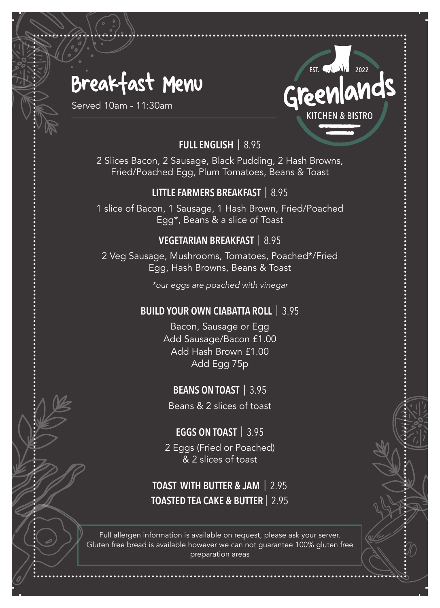## Breakfast Menu

Served 10am - 11:30am

### EST.  $\left(\sqrt{k}\right)$  2022 ands **KITCHEN & BISTRO**

#### **FULL ENGLISH** | 8.95

2 Slices Bacon, 2 Sausage, Black Pudding, 2 Hash Browns, Fried/Poached Egg, Plum Tomatoes, Beans & Toast

#### **LITTLE FARMERS BREAKFAST** | 8.95

1 slice of Bacon, 1 Sausage, 1 Hash Brown, Fried/Poached Egg\*, Beans & a slice of Toast

#### **VEGETARIAN BREAKFAST** | 8.95

2 Veg Sausage, Mushrooms, Tomatoes, Poached\*/Fried Egg, Hash Browns, Beans & Toast

*\*our eggs are poached with vinegar*

#### **BUILD YOUR OWN CIABATTA ROLL** | 3.95

Bacon, Sausage or Egg Add Sausage/Bacon £1.00 Add Hash Brown £1.00 Add Egg 75p

#### **BEANS ON TOAST** | 3.95

Beans & 2 slices of toast

#### **EGGS ON TOAST** | 3.95

2 Eggs (Fried or Poached) & 2 slices of toast

#### **TOAST WITH BUTTER & JAM** | 2.95 **TOASTED TEA CAKE & BUTTER** | 2.95

Full allergen information is available on request, please ask your server. Gluten free bread is available however we can not guarantee 100% gluten free preparation areas